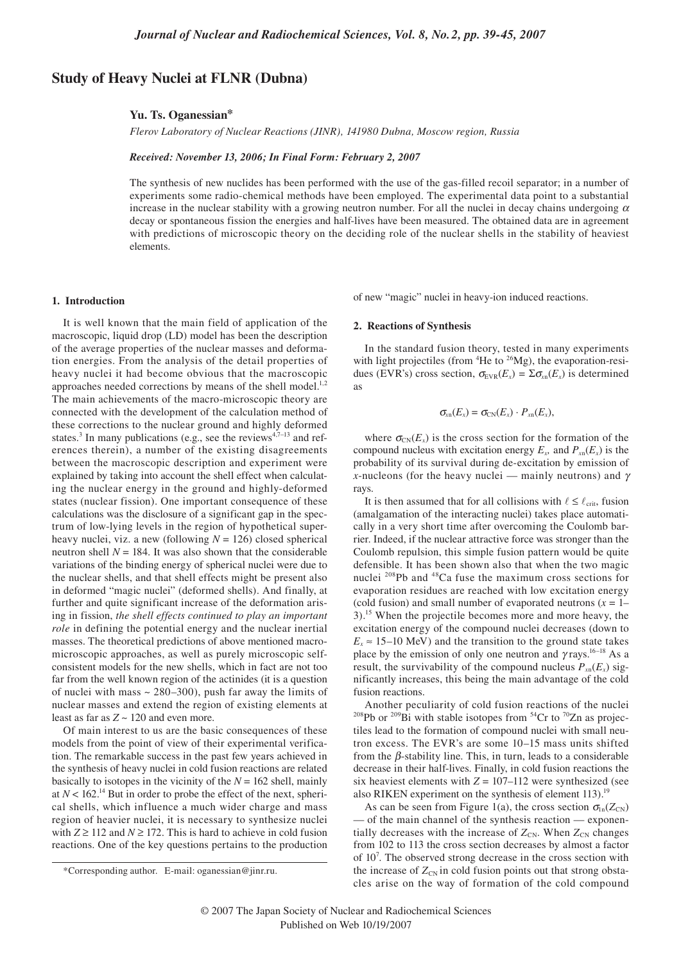# **Study of Heavy Nuclei at FLNR (Dubna)**

## **Yu. Ts. Oganessian\***

*Flerov Laboratory of Nuclear Reactions (JINR), 141980 Dubna, Moscow region, Russia*

## *Received: November 13, 2006; In Final Form: February 2, 2007*

The synthesis of new nuclides has been performed with the use of the gas-filled recoil separator; in a number of experiments some radio-chemical methods have been employed. The experimental data point to a substantial increase in the nuclear stability with a growing neutron number. For all the nuclei in decay chains undergoing  $\alpha$ decay or spontaneous fission the energies and half-lives have been measured. The obtained data are in agreement with predictions of microscopic theory on the deciding role of the nuclear shells in the stability of heaviest elements.

#### **1. Introduction**

It is well known that the main field of application of the macroscopic, liquid drop (LD) model has been the description of the average properties of the nuclear masses and deformation energies. From the analysis of the detail properties of heavy nuclei it had become obvious that the macroscopic approaches needed corrections by means of the shell model.<sup>1,2</sup> The main achievements of the macro-microscopic theory are connected with the development of the calculation method of these corrections to the nuclear ground and highly deformed states.<sup>3</sup> In many publications (e.g., see the reviews<sup>4,7–13</sup> and references therein), a number of the existing disagreements between the macroscopic description and experiment were explained by taking into account the shell effect when calculating the nuclear energy in the ground and highly-deformed states (nuclear fission). One important consequence of these calculations was the disclosure of a significant gap in the spectrum of low-lying levels in the region of hypothetical superheavy nuclei, viz. a new (following  $N = 126$ ) closed spherical neutron shell  $N = 184$ . It was also shown that the considerable variations of the binding energy of spherical nuclei were due to the nuclear shells, and that shell effects might be present also in deformed "magic nuclei" (deformed shells). And finally, at further and quite significant increase of the deformation arising in fission, *the shell effects continued to play an important role* in defining the potential energy and the nuclear inertial masses. The theoretical predictions of above mentioned macromicroscopic approaches, as well as purely microscopic selfconsistent models for the new shells, which in fact are not too far from the well known region of the actinides (it is a question of nuclei with mass  $\sim$  280–300), push far away the limits of nuclear masses and extend the region of existing elements at least as far as  $Z \sim 120$  and even more.

Of main interest to us are the basic consequences of these models from the point of view of their experimental verification. The remarkable success in the past few years achieved in the synthesis of heavy nuclei in cold fusion reactions are related basically to isotopes in the vicinity of the  $N = 162$  shell, mainly at  $N < 162$ .<sup>14</sup> But in order to probe the effect of the next, spherical shells, which influence a much wider charge and mass region of heavier nuclei, it is necessary to synthesize nuclei with  $Z \ge 112$  and  $N \ge 172$ . This is hard to achieve in cold fusion reactions. One of the key questions pertains to the production of new "magic" nuclei in heavy-ion induced reactions.

#### **2. Reactions of Synthesis**

In the standard fusion theory, tested in many experiments with light projectiles (from  ${}^{4}$ He to  ${}^{26}$ Mg), the evaporation-residues (EVR's) cross section,  $\sigma_{EVR}(E_x) = \Sigma \sigma_{xn}(E_x)$  is determined as

$$
\sigma_{\rm xn}(E_x)=\sigma_{\rm CN}(E_x)\cdot P_{\rm xn}(E_x),
$$

where  $\sigma_{CN}(E_x)$  is the cross section for the formation of the compound nucleus with excitation energy  $E_x$ , and  $P_{x}E_x$  is the probability of its survival during de-excitation by emission of *x*-nucleons (for the heavy nuclei — mainly neutrons) and  $\gamma$ rays.

It is then assumed that for all collisions with  $\ell \leq \ell_{\rm crit}$ , fusion (amalgamation of the interacting nuclei) takes place automatically in a very short time after overcoming the Coulomb barrier. Indeed, if the nuclear attractive force was stronger than the Coulomb repulsion, this simple fusion pattern would be quite defensible. It has been shown also that when the two magic nuclei 208Pb and 48Ca fuse the maximum cross sections for evaporation residues are reached with low excitation energy (cold fusion) and small number of evaporated neutrons  $(x = 1 -$ 3).15 When the projectile becomes more and more heavy, the excitation energy of the compound nuclei decreases (down to  $E_x \approx 15{\text -}10$  MeV) and the transition to the ground state takes place by the emission of only one neutron and  $\gamma$  rays.<sup>16–18</sup> As a result, the survivability of the compound nucleus  $P_{xn}(E_x)$  significantly increases, this being the main advantage of the cold fusion reactions.

Another peculiarity of cold fusion reactions of the nuclei <sup>208</sup>Pb or <sup>209</sup>Bi with stable isotopes from <sup>54</sup>Cr to <sup>70</sup>Zn as projectiles lead to the formation of compound nuclei with small neutron excess. The EVR's are some 10–15 mass units shifted from the β-stability line. This, in turn, leads to a considerable decrease in their half-lives. Finally, in cold fusion reactions the six heaviest elements with  $Z = 107-112$  were synthesized (see also RIKEN experiment on the synthesis of element 113).<sup>19</sup>

As can be seen from Figure 1(a), the cross section  $\sigma_{\text{In}}(Z_{\text{CN}})$ — of the main channel of the synthesis reaction — exponentially decreases with the increase of  $Z_{CN}$ . When  $Z_{CN}$  changes from 102 to 113 the cross section decreases by almost a factor of 107 . The observed strong decrease in the cross section with the increase of  $Z_{CN}$  in cold fusion points out that strong obstacles arise on the way of formation of the cold compound

<sup>\*</sup>Corresponding author. E-mail: oganessian@jinr.ru.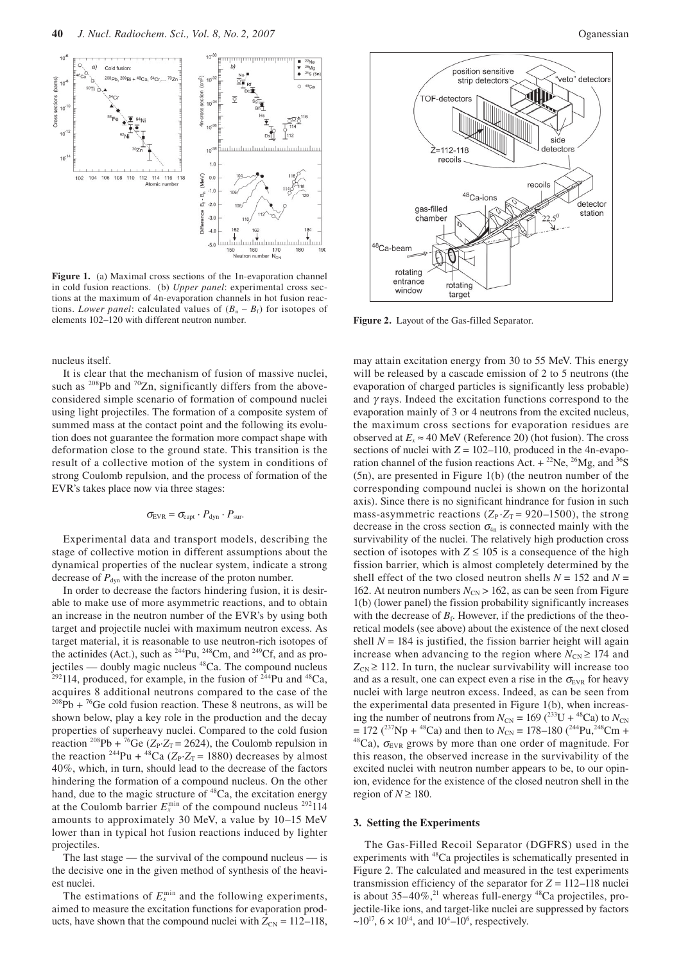

**Figure 1.** (a) Maximal cross sections of the 1n-evaporation channel in cold fusion reactions. (b) *Upper panel*: experimental cross sections at the maximum of 4n-evaporation channels in hot fusion reactions. *Lower panel*: calculated values of  $(B_n - B_f)$  for isotopes of elements 102–120 with different neutron number. **Figure 2.** Layout of the Gas-filled Separator.

nucleus itself.

It is clear that the mechanism of fusion of massive nuclei, such as  $^{208}Pb$  and  $^{70}Zn$ , significantly differs from the aboveconsidered simple scenario of formation of compound nuclei using light projectiles. The formation of a composite system of summed mass at the contact point and the following its evolution does not guarantee the formation more compact shape with deformation close to the ground state. This transition is the result of a collective motion of the system in conditions of strong Coulomb repulsion, and the process of formation of the EVR's takes place now via three stages:

$$
\sigma_{\text{EVR}} = \sigma_{\text{capt}} \cdot P_{\text{dyn}} \cdot P_{\text{sur}}.
$$

Experimental data and transport models, describing the stage of collective motion in different assumptions about the dynamical properties of the nuclear system, indicate a strong decrease of  $P_{dyn}$  with the increase of the proton number.

In order to decrease the factors hindering fusion, it is desirable to make use of more asymmetric reactions, and to obtain an increase in the neutron number of the EVR's by using both target and projectile nuclei with maximum neutron excess. As target material, it is reasonable to use neutron-rich isotopes of the actinides (Act.), such as  $^{244}$ Pu,  $^{248}$ Cm, and  $^{249}$ Cf, and as projectiles — doubly magic nucleus <sup>48</sup>Ca. The compound nucleus  $^{292}$ 114, produced, for example, in the fusion of <sup>244</sup>Pu and <sup>48</sup>Ca, acquires 8 additional neutrons compared to the case of the  $^{208}Pb + ^{76}Ge$  cold fusion reaction. These 8 neutrons, as will be shown below, play a key role in the production and the decay properties of superheavy nuclei. Compared to the cold fusion reaction <sup>208</sup>Pb + <sup>76</sup>Ge ( $Z_P \text{-} Z_T$  = 2624), the Coulomb repulsion in the reaction <sup>244</sup>Pu + <sup>48</sup>Ca ( $Z_P$ · $Z_T$  = 1880) decreases by almost 40%, which, in turn, should lead to the decrease of the factors hindering the formation of a compound nucleus. On the other hand, due to the magic structure of  $48Ca$ , the excitation energy at the Coulomb barrier  $E_x^{\text{min}}$  of the compound nucleus <sup>292</sup>114 amounts to approximately 30 MeV, a value by 10–15 MeV lower than in typical hot fusion reactions induced by lighter projectiles.

The last stage — the survival of the compound nucleus — is the decisive one in the given method of synthesis of the heaviest nuclei.

The estimations of  $E_x^{\text{min}}$  and the following experiments, aimed to measure the excitation functions for evaporation products, have shown that the compound nuclei with  $Z_{CN} = 112-118$ ,



may attain excitation energy from 30 to 55 MeV. This energy will be released by a cascade emission of 2 to 5 neutrons (the evaporation of charged particles is significantly less probable) and  $\gamma$  rays. Indeed the excitation functions correspond to the evaporation mainly of 3 or 4 neutrons from the excited nucleus, the maximum cross sections for evaporation residues are observed at  $E_x \approx 40$  MeV (Reference 20) (hot fusion). The cross sections of nuclei with  $Z = 102-110$ , produced in the 4n-evaporation channel of the fusion reactions Act.  $+{}^{22}$ Ne,  ${}^{26}$ Mg, and  ${}^{36}$ S (5n), are presented in Figure 1(b) (the neutron number of the corresponding compound nuclei is shown on the horizontal axis). Since there is no significant hindrance for fusion in such mass-asymmetric reactions ( $Z_P \cdot Z_T = 920-1500$ ), the strong decrease in the cross section  $\sigma_{4n}$  is connected mainly with the survivability of the nuclei. The relatively high production cross section of isotopes with  $Z \le 105$  is a consequence of the high fission barrier, which is almost completely determined by the shell effect of the two closed neutron shells  $N = 152$  and  $N =$ 162. At neutron numbers  $N_{CN} > 162$ , as can be seen from Figure 1(b) (lower panel) the fission probability significantly increases with the decrease of  $B_f$ . However, if the predictions of the theoretical models (see above) about the existence of the next closed shell  $N = 184$  is justified, the fission barrier height will again increase when advancing to the region where  $N_{CN} \ge 174$  and  $Z_{CN} \geq 112$ . In turn, the nuclear survivability will increase too and as a result, one can expect even a rise in the  $\sigma_{EVR}$  for heavy nuclei with large neutron excess. Indeed, as can be seen from the experimental data presented in Figure 1(b), when increasing the number of neutrons from  $N_{CN} = 169$  (<sup>233</sup>U + <sup>48</sup>Ca) to  $N_{CN}$ <br>= 172 (<sup>237</sup>Np + <sup>48</sup>Ca) and then to  $N_{CN} = 178-180$  (<sup>244</sup>Pu,<sup>248</sup>Cm + <sup>48</sup>Ca),  $\sigma_{EVR}$  grows by more than one order of magnitude. For this reason, the observed increase in the survivability of the excited nuclei with neutron number appears to be, to our opinion, evidence for the existence of the closed neutron shell in the region of  $N \geq 180$ .

#### **3. Setting the Experiments**

The Gas-Filled Recoil Separator (DGFRS) used in the experiments with 48Ca projectiles is schematically presented in Figure 2. The calculated and measured in the test experiments transmission efficiency of the separator for  $Z = 112-118$  nuclei is about  $35-40\%$ ,<sup>21</sup> whereas full-energy  $48$ Ca projectiles, projectile-like ions, and target-like nuclei are suppressed by factors ~10<sup>17</sup>, 6 × 10<sup>14</sup>, and 10<sup>4</sup>-10<sup>6</sup>, respectively.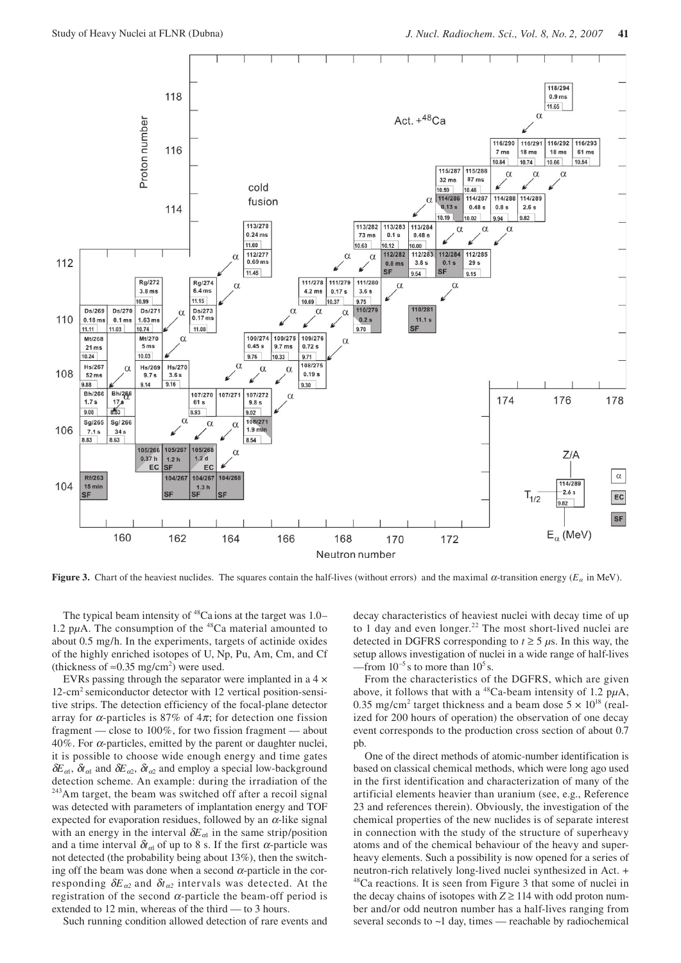

**Figure 3.** Chart of the heaviest nuclides. The squares contain the half-lives (without errors) and the maximal  $\alpha$ -transition energy ( $E_{\alpha}$  in MeV).

The typical beam intensity of  $^{48}$ Ca ions at the target was 1.0– 1.2 p $\mu$ A. The consumption of the  $48$ Ca material amounted to about 0.5 mg/h. In the experiments, targets of actinide oxides of the highly enriched isotopes of U, Np, Pu, Am, Cm, and Cf (thickness of ≈0.35 mg/cm<sup>2</sup>) were used.

EVRs passing through the separator were implanted in a 4 × 12-cm2 semiconductor detector with 12 vertical position-sensitive strips. The detection efficiency of the focal-plane detector array for  $\alpha$ -particles is 87% of 4 $\pi$ ; for detection one fission fragment — close to 100%, for two fission fragment — about 40%. For  $\alpha$ -particles, emitted by the parent or daughter nuclei, it is possible to choose wide enough energy and time gates  $\delta E_{\alpha1}$ ,  $\delta t_{\alpha1}$  and  $\delta E_{\alpha2}$ ,  $\delta t_{\alpha2}$  and employ a special low-background detection scheme. An example: during the irradiation of the <sup>243</sup>Am target, the beam was switched off after a recoil signal was detected with parameters of implantation energy and TOF expected for evaporation residues, followed by an  $\alpha$ -like signal with an energy in the interval  $\delta E_{\alpha l}$  in the same strip/position and a time interval  $\delta t_{\alpha}$  of up to 8 s. If the first  $\alpha$ -particle was not detected (the probability being about 13%), then the switching off the beam was done when a second  $\alpha$ -particle in the corresponding  $\delta E_{\alpha 2}$  and  $\delta t_{\alpha 2}$  intervals was detected. At the registration of the second  $\alpha$ -particle the beam-off period is extended to 12 min, whereas of the third — to 3 hours.

Such running condition allowed detection of rare events and

decay characteristics of heaviest nuclei with decay time of up to 1 day and even longer.<sup>22</sup> The most short-lived nuclei are detected in DGFRS corresponding to  $t \geq 5$   $\mu$ s. In this way, the setup allows investigation of nuclei in a wide range of half-lives –from  $10^{-5}$  s to more than  $10^5$  s.

From the characteristics of the DGFRS, which are given above, it follows that with a <sup>48</sup>Ca-beam intensity of 1.2  $p\mu$ A, 0.35 mg/cm<sup>2</sup> target thickness and a beam dose  $5 \times 10^{18}$  (realized for 200 hours of operation) the observation of one decay event corresponds to the production cross section of about 0.7 pb.

One of the direct methods of atomic-number identification is based on classical chemical methods, which were long ago used in the first identification and characterization of many of the artificial elements heavier than uranium (see, e.g., Reference 23 and references therein). Obviously, the investigation of the chemical properties of the new nuclides is of separate interest in connection with the study of the structure of superheavy atoms and of the chemical behaviour of the heavy and superheavy elements. Such a possibility is now opened for a series of neutron-rich relatively long-lived nuclei synthesized in Act. + 48Ca reactions. It is seen from Figure 3 that some of nuclei in the decay chains of isotopes with  $Z \ge 114$  with odd proton number and/or odd neutron number has a half-lives ranging from several seconds to ~1 day, times — reachable by radiochemical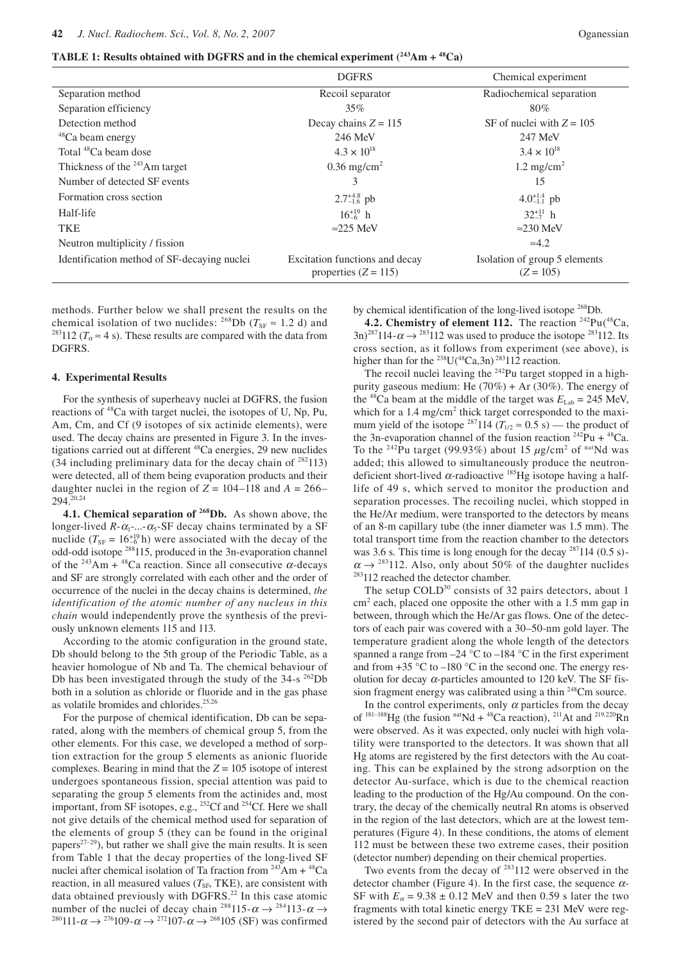**TABLE 1: Results obtained with DGFRS and in the chemical experiment (243Am + 48Ca)** 

|                                             | <b>DGFRS</b>                                             | Chemical experiment                          |
|---------------------------------------------|----------------------------------------------------------|----------------------------------------------|
| Separation method                           | Recoil separator                                         | Radiochemical separation                     |
| Separation efficiency                       | $35\%$                                                   | $80\%$                                       |
| Detection method                            | Decay chains $Z = 115$                                   | SF of nuclei with $Z = 105$                  |
| <sup>48</sup> Ca beam energy                | 246 MeV                                                  | 247 MeV                                      |
| Total <sup>48</sup> Ca beam dose            | $4.3 \times 10^{18}$                                     | $3.4 \times 10^{18}$                         |
| Thickness of the <sup>243</sup> Am target   | $0.36$ mg/cm <sup>2</sup>                                | $1.2 \text{ mg/cm}^2$                        |
| Number of detected SF events                | 3                                                        | 15                                           |
| Formation cross section                     | $2.7^{+4.8}_{-1.6}$ pb                                   | $4.0^{+1.4}_{-1.1}$ pb                       |
| Half-life                                   | $16^{+19}_{-6}$ h                                        | $32^{+11}_{-7}$ h                            |
| <b>TKE</b>                                  | $\approx$ 225 MeV                                        | $\approx$ 230 MeV                            |
| Neutron multiplicity / fission              |                                                          | $\approx 4.2$                                |
| Identification method of SF-decaying nuclei | Excitation functions and decay<br>properties $(Z = 115)$ | Isolation of group 5 elements<br>$(Z = 105)$ |

methods. Further below we shall present the results on the chemical isolation of two nuclides: <sup>268</sup>Db ( $T_{SF} \approx 1.2$  d) and <sup>283</sup>112 ( $T_{\alpha} \approx 4$  s). These results are compared with the data from DGFRS.

#### **4. Experimental Results**

For the synthesis of superheavy nuclei at DGFRS, the fusion reactions of 48Ca with target nuclei, the isotopes of U, Np, Pu, Am, Cm, and Cf (9 isotopes of six actinide elements), were used. The decay chains are presented in Figure 3. In the investigations carried out at different <sup>48</sup>Ca energies, 29 new nuclides (34 including preliminary data for the decay chain of  $282113$ ) were detected, all of them being evaporation products and their daughter nuclei in the region of  $Z = 104-118$  and  $A = 266-$ 294.20,24

**4.1. Chemical separation of 268Db.** As shown above, the longer-lived  $R-\alpha_1-\cdots-\alpha_5$ -SF decay chains terminated by a SF nuclide  $(T_{SF} = 16^{+19}_{-6}$ h) were associated with the decay of the odd-odd isotope 288115, produced in the 3n-evaporation channel of the <sup>243</sup>Am + <sup>48</sup>Ca reaction. Since all consecutive  $\alpha$ -decays and SF are strongly correlated with each other and the order of occurrence of the nuclei in the decay chains is determined, *the identification of the atomic number of any nucleus in this chain* would independently prove the synthesis of the previously unknown elements 115 and 113.

According to the atomic configuration in the ground state, Db should belong to the 5th group of the Periodic Table, as a heavier homologue of Nb and Ta. The chemical behaviour of Db has been investigated through the study of the 34-s 262Db both in a solution as chloride or fluoride and in the gas phase as volatile bromides and chlorides.<sup>25,26</sup>

For the purpose of chemical identification, Db can be separated, along with the members of chemical group 5, from the other elements. For this case, we developed a method of sorption extraction for the group 5 elements as anionic fluoride complexes. Bearing in mind that the  $Z = 105$  isotope of interest undergoes spontaneous fission, special attention was paid to separating the group 5 elements from the actinides and, most important, from SF isotopes, e.g., <sup>252</sup>Cf and <sup>254</sup>Cf. Here we shall not give details of the chemical method used for separation of the elements of group 5 (they can be found in the original papers<sup>27-29</sup>), but rather we shall give the main results. It is seen from Table 1 that the decay properties of the long-lived SF nuclei after chemical isolation of Ta fraction from  $243$ Am +  $48$ Ca reaction, in all measured values  $(T_{SF}, \text{TKE})$ , are consistent with data obtained previously with DGFRS.<sup>22</sup> In this case atomic number of the nuclei of decay chain <sup>288</sup>115- $\alpha \rightarrow$ <sup>284</sup>113- $\alpha \rightarrow$ <sup>280</sup>111- $\alpha \rightarrow$  <sup>276</sup>109- $\alpha \rightarrow$  <sup>272</sup>107- $\alpha \rightarrow$  <sup>268</sup>105 (SF) was confirmed by chemical identification of the long-lived isotope <sup>268</sup>Db.

**4.2. Chemistry of element 112.** The reaction <sup>242</sup>Pu(<sup>48</sup>Ca,  $(3n)^{287}114$ - $\alpha \rightarrow$  <sup>283</sup>112 was used to produce the isotope <sup>283</sup>112. Its cross section, as it follows from experiment (see above), is higher than for the <sup>238</sup>U( $\frac{48}{2}$ Ca,3n)<sup>283</sup>112 reaction.

The recoil nuclei leaving the  $242$ Pu target stopped in a highpurity gaseous medium: He  $(70\%)$  + Ar  $(30\%)$ . The energy of the <sup>48</sup>Ca beam at the middle of the target was  $E_{\text{Lab}} = 245$  MeV, which for a  $1.4 \text{ mg/cm}^2$  thick target corresponded to the maximum yield of the isotope <sup>287</sup>114 ( $T_{1/2} \approx 0.5$  s) — the product of the 3n-evaporation channel of the fusion reaction  $242\text{Pu} + 48\text{Ca}$ . To the <sup>242</sup>Pu target (99.93%) about 15  $\mu$ g/cm<sup>2</sup> of <sup>nat</sup>Nd was added; this allowed to simultaneously produce the neutrondeficient short-lived  $\alpha$ -radioactive <sup>185</sup>Hg isotope having a halflife of 49 s, which served to monitor the production and separation processes. The recoiling nuclei, which stopped in the He/Ar medium, were transported to the detectors by means of an 8-m capillary tube (the inner diameter was 1.5 mm). The total transport time from the reaction chamber to the detectors was 3.6 s. This time is long enough for the decay  $287114$  (0.5 s)- $\alpha \rightarrow$  <sup>283</sup>112. Also, only about 50% of the daughter nuclides <sup>283</sup>112 reached the detector chamber.

The setup COLD<sup>30</sup> consists of 32 pairs detectors, about 1 cm2 each, placed one opposite the other with a 1.5 mm gap in between, through which the He/Ar gas flows. One of the detectors of each pair was covered with a 30–50-nm gold layer. The temperature gradient along the whole length of the detectors spanned a range from  $-24$  °C to  $-184$  °C in the first experiment and from +35 °C to –180 °C in the second one. The energy resolution for decay  $\alpha$ -particles amounted to 120 keV. The SF fission fragment energy was calibrated using a thin 248Cm source.

In the control experiments, only  $\alpha$  particles from the decay of  $^{181-188}$ Hg (the fusion  $^{nat}Nd + ^{48}Ca$  reaction), <sup>211</sup>At and <sup>219,220</sup>Rn were observed. As it was expected, only nuclei with high volatility were transported to the detectors. It was shown that all Hg atoms are registered by the first detectors with the Au coating. This can be explained by the strong adsorption on the detector Au-surface, which is due to the chemical reaction leading to the production of the Hg/Au compound. On the contrary, the decay of the chemically neutral Rn atoms is observed in the region of the last detectors, which are at the lowest temperatures (Figure 4). In these conditions, the atoms of element 112 must be between these two extreme cases, their position (detector number) depending on their chemical properties.

Two events from the decay of <sup>283</sup>112 were observed in the detector chamber (Figure 4). In the first case, the sequence  $\alpha$ -SF with  $E_a = 9.38 \pm 0.12$  MeV and then 0.59 s later the two fragments with total kinetic energy TKE = 231 MeV were registered by the second pair of detectors with the Au surface at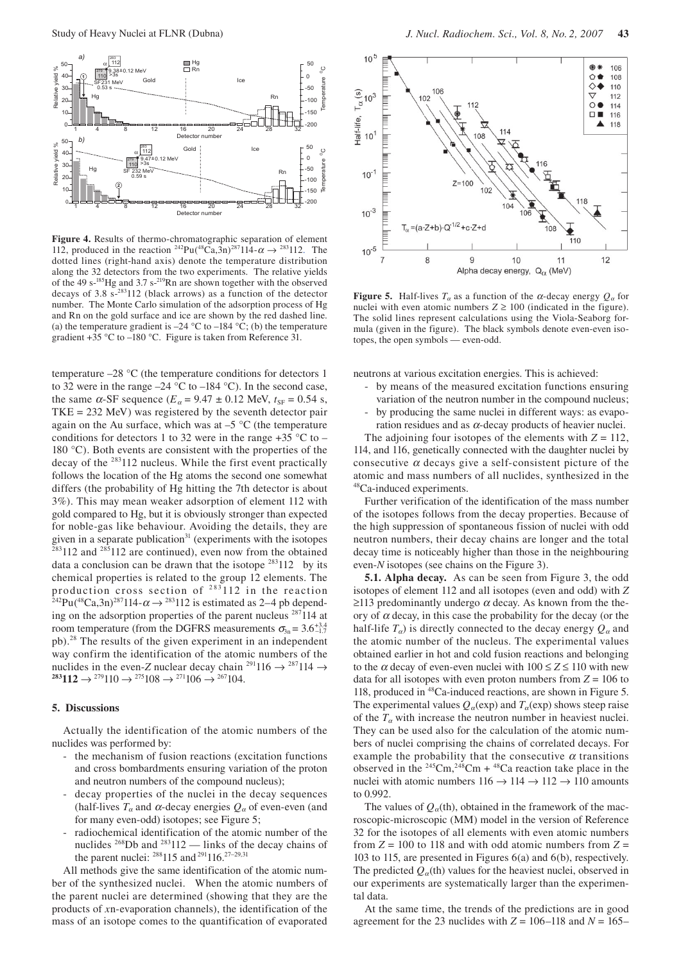

**Figure 4.** Results of thermo-chromatographic separation of element 112, produced in the reaction <sup>242</sup>Pu(<sup>48</sup>Ca,3n)<sup>287</sup>114- $\alpha \rightarrow$ <sup>283</sup>112. The dotted lines (right-hand axis) denote the temperature distribution along the 32 detectors from the two experiments. The relative yields of the 49 s-185Hg and 3.7 s-219Rn are shown together with the observed decays of 3.8  $s^{-283}$ 112 (black arrows) as a function of the detector number. The Monte Carlo simulation of the adsorption process of Hg and Rn on the gold surface and ice are shown by the red dashed line. (a) the temperature gradient is  $-24$  °C to  $-184$  °C; (b) the temperature gradient +35 °C to –180 °C. Figure is taken from Reference 31.

temperature –28 °C (the temperature conditions for detectors 1 to 32 were in the range –24 °C to –184 °C). In the second case, the same  $\alpha$ -SF sequence ( $E_\alpha$  = 9.47  $\pm$  0.12 MeV,  $t_{SF}$  = 0.54 s, TKE = 232 MeV) was registered by the seventh detector pair again on the Au surface, which was at  $-5$  °C (the temperature conditions for detectors 1 to 32 were in the range  $+35$  °C to – 180 °C). Both events are consistent with the properties of the decay of the 283112 nucleus. While the first event practically follows the location of the Hg atoms the second one somewhat differs (the probability of Hg hitting the 7th detector is about 3%). This may mean weaker adsorption of element 112 with gold compared to Hg, but it is obviously stronger than expected for noble-gas like behaviour. Avoiding the details, they are given in a separate publication<sup>31</sup> (experiments with the isotopes  $283112$  and  $285112$  are continued), even now from the obtained data a conclusion can be drawn that the isotope  $283112$  by its chemical properties is related to the group 12 elements. The production cross section of <sup>283</sup>112 in the reaction <sup>242</sup>Pu(<sup>48</sup>Ca,3n)<sup>287</sup>114- $\alpha \rightarrow$ <sup>283</sup>112 is estimated as 2–4 pb depending on the adsorption properties of the parent nucleus  $287114$  at room temperature (from the DGFRS measurements  $\sigma_{3n} = 3.6^{+3.4}_{-1.7}$ pb).28 The results of the given experiment in an independent way confirm the identification of the atomic numbers of the nuclides in the even-*Z* nuclear decay chain <sup>291</sup>116  $\rightarrow$  <sup>287</sup>114  $\rightarrow$  $2^{283}112 \rightarrow 2^{79}110 \rightarrow 2^{75}108 \rightarrow 2^{71}106 \rightarrow 2^{67}104.$ 

# **5. Discussions**

Actually the identification of the atomic numbers of the nuclides was performed by:

- the mechanism of fusion reactions (excitation functions and cross bombardments ensuring variation of the proton and neutron numbers of the compound nucleus);
- decay properties of the nuclei in the decay sequences (half-lives  $T_\alpha$  and  $\alpha$ -decay energies  $Q_\alpha$  of even-even (and for many even-odd) isotopes; see Figure 5;
- radiochemical identification of the atomic number of the nuclides  $^{268}$ Db and  $^{283}$ 112 — links of the decay chains of the parent nuclei:  $^{288}115$  and  $^{291}116$ .  $^{27-29,31}$

All methods give the same identification of the atomic number of the synthesized nuclei. When the atomic numbers of the parent nuclei are determined (showing that they are the products of *x*n-evaporation channels), the identification of the mass of an isotope comes to the quantification of evaporated



**Figure 5.** Half-lives  $T_\alpha$  as a function of the  $\alpha$ -decay energy  $Q_\alpha$  for nuclei with even atomic numbers  $Z \ge 100$  (indicated in the figure). The solid lines represent calculations using the Viola-Seaborg formula (given in the figure). The black symbols denote even-even isotopes, the open symbols — even-odd.

neutrons at various excitation energies. This is achieved:

- by means of the measured excitation functions ensuring variation of the neutron number in the compound nucleus;
- by producing the same nuclei in different ways: as evaporation residues and as  $\alpha$ -decay products of heavier nuclei.

The adjoining four isotopes of the elements with  $Z = 112$ , 114, and 116, genetically connected with the daughter nuclei by consecutive  $\alpha$  decays give a self-consistent picture of the atomic and mass numbers of all nuclides, synthesized in the <sup>48</sup>Ca-induced experiments.

Further verification of the identification of the mass number of the isotopes follows from the decay properties. Because of the high suppression of spontaneous fission of nuclei with odd neutron numbers, their decay chains are longer and the total decay time is noticeably higher than those in the neighbouring even-*N* isotopes (see chains on the Figure 3).

**5.1. Alpha decay.** As can be seen from Figure 3, the odd isotopes of element 112 and all isotopes (even and odd) with *Z*  $\geq$ 113 predominantly undergo  $\alpha$  decay. As known from the theory of  $\alpha$  decay, in this case the probability for the decay (or the half-life  $T_{\alpha}$ ) is directly connected to the decay energy  $Q_{\alpha}$  and the atomic number of the nucleus. The experimental values obtained earlier in hot and cold fusion reactions and belonging to the  $\alpha$  decay of even-even nuclei with  $100 \le Z \le 110$  with new data for all isotopes with even proton numbers from  $Z = 106$  to 118, produced in 48Ca-induced reactions, are shown in Figure 5. The experimental values  $Q_\alpha(\exp)$  and  $T_\alpha(\exp)$  shows steep raise of the  $T_\alpha$  with increase the neutron number in heaviest nuclei. They can be used also for the calculation of the atomic numbers of nuclei comprising the chains of correlated decays. For example the probability that the consecutive  $\alpha$  transitions observed in the  $245 \text{Cm}$ ,  $248 \text{Cm}$  +  $48 \text{Ca}$  reaction take place in the nuclei with atomic numbers  $116 \rightarrow 114 \rightarrow 112 \rightarrow 110$  amounts to 0.992.

The values of  $Q_\alpha$ (th), obtained in the framework of the macroscopic-microscopic (MM) model in the version of Reference 32 for the isotopes of all elements with even atomic numbers from  $Z = 100$  to 118 and with odd atomic numbers from  $Z =$ 103 to 115, are presented in Figures 6(a) and 6(b), respectively. The predicted  $Q_{\alpha}$ (th) values for the heaviest nuclei, observed in our experiments are systematically larger than the experimental data.

At the same time, the trends of the predictions are in good agreement for the 23 nuclides with  $Z = 106-118$  and  $N = 165-$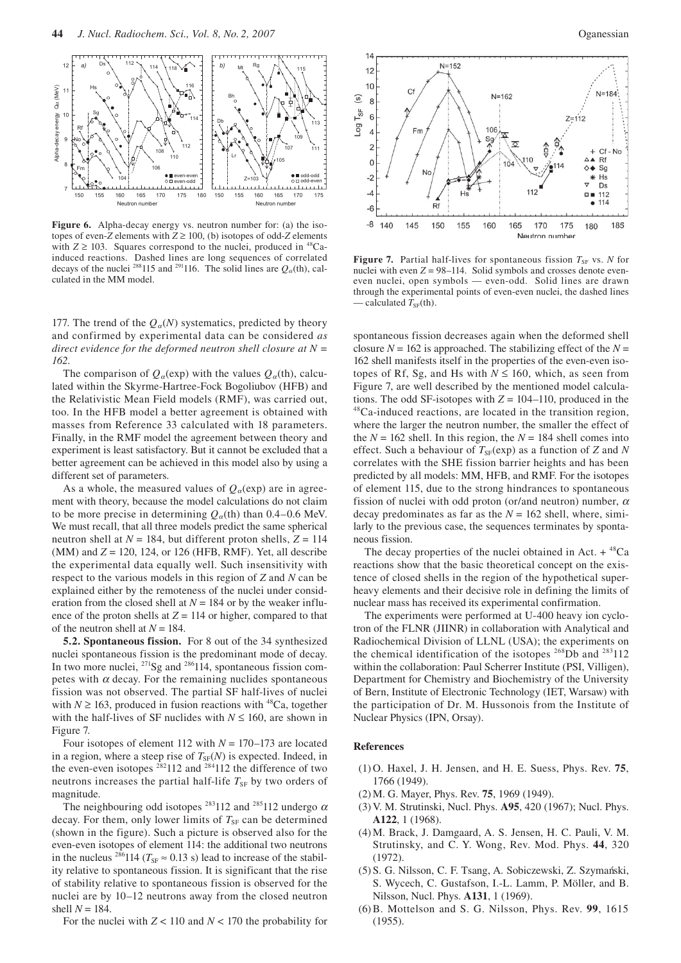

**Figure 6.** Alpha-decay energy vs. neutron number for: (a) the isotopes of even-*Z* elements with  $Z \ge 100$ , (b) isotopes of odd-*Z* elements with  $Z \ge 103$ . Squares correspond to the nuclei, produced in <sup>48</sup>Cainduced reactions. Dashed lines are long sequences of correlated decays of the nuclei  $^{288}115$  and  $^{291}116$ . The solid lines are  $Q_\alpha(\text{th})$ , calculated in the MM model.

177. The trend of the  $Q_{\alpha}(N)$  systematics, predicted by theory and confirmed by experimental data can be considered *as direct evidence for the deformed neutron shell closure at N = 162*.

The comparison of  $Q_\alpha$ (exp) with the values  $Q_\alpha$ (th), calculated within the Skyrme-Hartree-Fock Bogoliubov (HFB) and the Relativistic Mean Field models (RMF), was carried out, too. In the HFB model a better agreement is obtained with masses from Reference 33 calculated with 18 parameters. Finally, in the RMF model the agreement between theory and experiment is least satisfactory. But it cannot be excluded that a better agreement can be achieved in this model also by using a different set of parameters.

As a whole, the measured values of  $Q_\alpha(\exp)$  are in agreement with theory, because the model calculations do not claim to be more precise in determining  $Q_\alpha$ (th) than 0.4–0.6 MeV. We must recall, that all three models predict the same spherical neutron shell at  $N = 184$ , but different proton shells,  $Z = 114$ (MM) and *Z* = 120, 124, or 126 (HFB, RMF). Yet, all describe the experimental data equally well. Such insensitivity with respect to the various models in this region of *Z* and *N* can be explained either by the remoteness of the nuclei under consideration from the closed shell at  $N = 184$  or by the weaker influence of the proton shells at  $Z = 114$  or higher, compared to that of the neutron shell at  $N = 184$ .

**5.2. Spontaneous fission.** For 8 out of the 34 synthesized nuclei spontaneous fission is the predominant mode of decay. In two more nuclei, <sup>271</sup>Sg and <sup>286</sup>114, spontaneous fission competes with  $\alpha$  decay. For the remaining nuclides spontaneous fission was not observed. The partial SF half-lives of nuclei with  $N \ge 163$ , produced in fusion reactions with <sup>48</sup>Ca, together with the half-lives of SF nuclides with  $N \le 160$ , are shown in Figure 7.

Four isotopes of element 112 with *N* = 170–173 are located in a region, where a steep rise of  $T_{SF}(N)$  is expected. Indeed, in the even-even isotopes  $^{282}$ 112 and  $^{284}$ 112 the difference of two neutrons increases the partial half-life  $T_{SF}$  by two orders of magnitude.

The neighbouring odd isotopes <sup>283</sup>112 and <sup>285</sup>112 undergo  $\alpha$ decay. For them, only lower limits of  $T_{SF}$  can be determined (shown in the figure). Such a picture is observed also for the even-even isotopes of element 114: the additional two neutrons in the nucleus <sup>286</sup>114 ( $T_{SF} \approx 0.13$  s) lead to increase of the stability relative to spontaneous fission. It is significant that the rise of stability relative to spontaneous fission is observed for the nuclei are by 10–12 neutrons away from the closed neutron shell  $N = 184$ .

For the nuclei with  $Z < 110$  and  $N < 170$  the probability for



**Figure 7.** Partial half-lives for spontaneous fission  $T_{SF}$  vs. *N* for nuclei with even  $Z = 98 - 114$ . Solid symbols and crosses denote eveneven nuclei, open symbols — even-odd. Solid lines are drawn through the experimental points of even-even nuclei, the dashed lines — calculated  $T_{SF}$ (th).

spontaneous fission decreases again when the deformed shell closure  $N = 162$  is approached. The stabilizing effect of the  $N =$ 162 shell manifests itself in the properties of the even-even isotopes of Rf, Sg, and Hs with  $N \le 160$ , which, as seen from Figure 7, are well described by the mentioned model calculations. The odd SF-isotopes with  $Z = 104-110$ , produced in the  $48$ Ca-induced reactions, are located in the transition region, where the larger the neutron number, the smaller the effect of the  $N = 162$  shell. In this region, the  $N = 184$  shell comes into effect. Such a behaviour of  $T_{SF}$ (exp) as a function of *Z* and *N* correlates with the SHE fission barrier heights and has been predicted by all models: MM, HFB, and RMF. For the isotopes of element 115, due to the strong hindrances to spontaneous fission of nuclei with odd proton (or/and neutron) number,  $\alpha$ decay predominates as far as the  $N = 162$  shell, where, similarly to the previous case, the sequences terminates by spontaneous fission.

The decay properties of the nuclei obtained in Act.  $+{}^{48}Ca$ reactions show that the basic theoretical concept on the existence of closed shells in the region of the hypothetical superheavy elements and their decisive role in defining the limits of nuclear mass has received its experimental confirmation.

The experiments were performed at U-400 heavy ion cyclotron of the FLNR (JIINR) in collaboration with Analytical and Radiochemical Division of LLNL (USA); the experiments on the chemical identification of the isotopes  $^{268}$ Db and  $^{283}$ 112 within the collaboration: Paul Scherrer Institute (PSI, Villigen), Department for Chemistry and Biochemistry of the University of Bern, Institute of Electronic Technology (IET, Warsaw) with the participation of Dr. M. Hussonois from the Institute of Nuclear Physics (IPN, Orsay).

#### **References**

- (1) O. Haxel, J. H. Jensen, and H. E. Suess, Phys. Rev. **75**, 1766 (1949).
- (2) M. G. Mayer, Phys. Rev. **75**, 1969 (1949).
- (3) V. M. Strutinski, Nucl. Phys. **A95**, 420 (1967); Nucl. Phys. **A122**, 1 (1968).
- (4) M. Brack, J. Damgaard, A. S. Jensen, H. C. Pauli, V. M. Strutinsky, and C. Y. Wong, Rev. Mod. Phys. **44**, 320 (1972).
- (5) S. G. Nilsson, C. F. Tsang, A. Sobiczewski, Z. Szyman´ski, S. Wycech, C. Gustafson, I.-L. Lamm, P. Möller, and B. Nilsson, Nucl. Phys. **A131**, 1 (1969).
- (6) B. Mottelson and S. G. Nilsson, Phys. Rev. **99**, 1615 (1955).